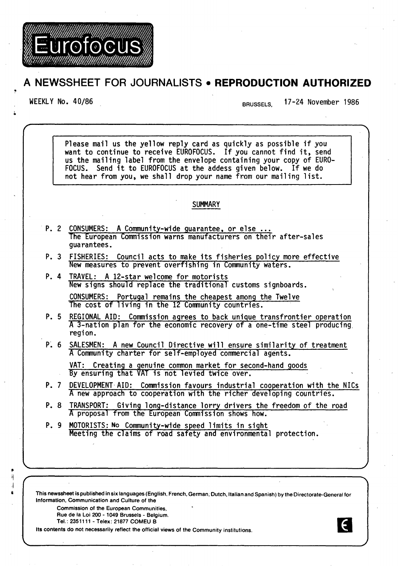

Eurofocus

WEEKLY No. 40/86 end of the state of the BRUSSELS. 17-24 November 1986

 $\epsilon$ 

Please mail us the yellow reply card as quickly as possible if you want to continue to receive EUROFOCUS. If you cannot find it, send us the mailing label from the envelope containing your copy of EURO-FOCUS. Send it to EUROFOCUS at the addess given below. If we do not hear from you, we shall drop your name from our mailing list. **SUMMARY** P. 2 CONSUMERS: A Community-wide guarantee, or else ... The European Commission warns manufacturers on their after-sales guarantees. P. 3 FISHERIES: Council acts to make its fisheries policy more effective New measures to prevent overfishing in Community waters. P. 4 TRAVEL: A 12-star welcome for motorists New signs should replace the traditional customs signboards. CONSUMERS: Portugal remains the cheapest among the Twelve The cost of living in the 12 Community countries. P. 5 REGIONAL AID: Commission agrees to back unique transfrontier operation A 3-nation plan for the economic recovery of a one-time steel producing region. P. 6 SALESMEN: A new Council Directive will ensure similarity of treatment A Community charter for self-employed commercial agents. VAT: Creating a genuine common market for second-hand goods By ensuring that VAT is not levied twice over. P. 7 DEVELOPMENT AID: Commission favours industrial cooperation with the NICs A new approach to cooperation with the richer developing countries. P. 8 TRANSPORT: Giving long-distance lorry drivers the freedom of the road A proposal from the European Commission shows how. P. 9 MOTORISTS: No Community-wide speed limits in sight Meeting the claims of road safety and environmental protection.

This newssheet is published in six languages (English, French, German, Dutch, Italian and Spanish) by the Directorate-General for Information, Communication and Culture of the

Commission of the European Communities, Rue de Ia Loi 200- 1049 Brussels- Belgium.

Tel.: 2351111 -Telex: 21877 COMEU B

" lj ,j

Its contents do not necessarily reflect the official views of the Community institutions.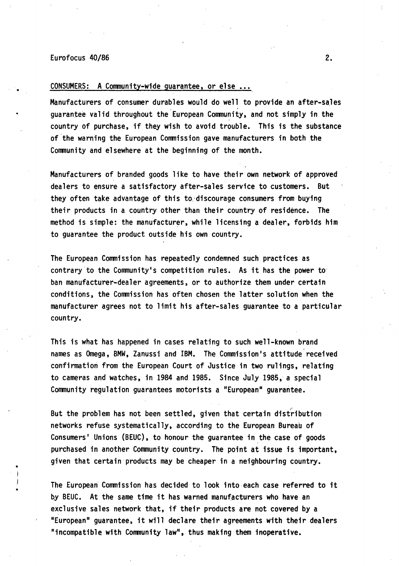### Eurofocus 40/86 2.

•

•

•

## CONSUMERS: A Community-wide guarantee, or else ...

Manufacturers of consumer durables would do well to provide an after-sales guarantee valid throughout the European Community, and not simply in the country of purchase, if they wish to avoid trouble. This is the substance of-the warning the European Commission gave manufacturers in both the Community and elsewhere at the beginning of the month.

Manufacturers of branded goods like to have their own network of approved dealers to ensure a satisfactory after-sales service to customers. But they often take advantage of this to discourage consumers from buying their products in a country other than their country of residence. The method is simple: the manufacturer, while licensing a dealer, forbids him to guarantee the product outside his own country.

The European Commission has repeatedly condemned such practices as contrary to the Community's competition rules. As it has the power to· ban manufacturer-dealer agreements, or to authorize them under certain conditions, the Commission has often chosen the latter solution when the manufacturer agrees not to limit his after-sales guarantee to a particular country.

This is what has happened in cases relating to such well-known brand names as Omega, BMW, Zanussi and IBM. The Commission's attitude received confirmation from the European Court of Justice in two rulings, relating to cameras and watches; in 1984 and 1985. Since July 1985, a special Community regulation guarantees motorists a "European" guarantee.

But the problem has not been settled, given that certain distribution networks refuse systematically, according to the European Bureau of Consumers' Unions (BEUC), to honour the guarantee in the case of goods purchased in another Community country. The point at issue is important, given that certain products may be cheaper in a neighbouring country.

The European Commission has decided to look into each case referred to it by BEUC. At the same time it has warned manufacturers who have an exclusive sales network that, if their products are not covered by a "European" guarantee, it will declare their agreements with their dealers "incompatible with Community law", thus making them inoperative.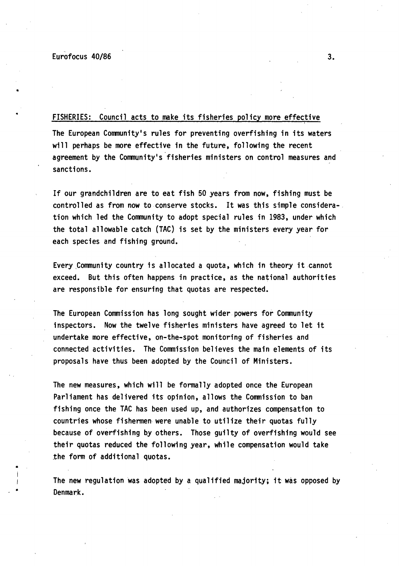•

•

•

# FISHERIES: Council acts to make its fisheries policy more effective

The European Community's rules for preventing overfishing in its waters will perhaps be more effective in the future, following the recent agreement by the Community's fisheries ministers on control measures and sanctions.

If our grandchildren are to eat fish 50 years from now, fishing must be controlled as from now to conserve stocks. It was this simple considera-. tion which led the Community to adopt special rules in 1983, under which the total allowable catch {TAC) is set by the ministers every year for each species and fishing ground.

Every ,Community country is allocated a quota, which in theory it cannot exceed. But this often happens in practice, as the national authorities are responsible for ensuring that quotas are respected.

The European Commission has long sought wider powers for Community inspectors. Now the twelve fisheries ministers have agreed to let it undertake more effective, on-the-spot monitoring of fisheries and connected activities. The Commission believes the main elements of its proposals have thus been adopted by the Council of Ministers.

The new measures, which will be formally adopted once the European Parliament has delivered its opinion, allows the Commission to ban fishing once the TAC has been used up, and authorizes compensation to countries whose fishermen. were unable to utilize their quotas fully because of overfishing by others. Those guilty of overfishing would see their quotas reduced the following year, while compensation would take the form of additional quotas.

The new regulation was adopted by a qualified majority; it was opposed by Denmark.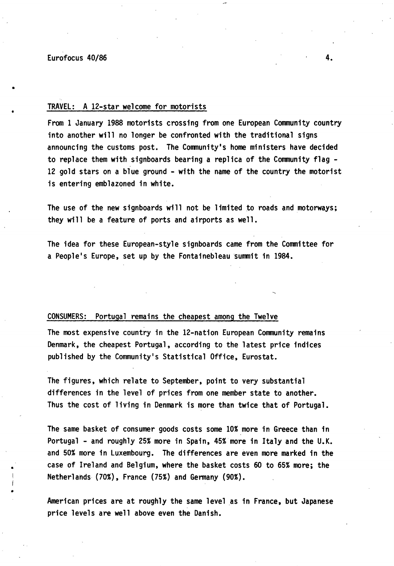•

•

## TRAVEL: A 12-star welcome for motorists

From 1 January 1988 motorists crossing from one European Community country into another will no longer be confronted with the traditional signs announcing the customs post. The Community's home ministers have decided to replace them with signboards bearing a replica of the Community flag - 12 gold stars on a blue ground - with the name of the country the motorist is entering emblazoned in white.

The use of the new signboards will not be limited to roads and motorways; they will be a feature of ports and airports as well.

The idea for these European-style signboards came from the Committee for a People's Europe, set up by the Fontainebleau summit in 1984.

### CONSUMERS: Portugal remains the cheapest among the Twelve

The most expensive country in the 12-nation European Community remains Denmark, the cheapest Portugal, according to the latest price indices published by the Community's Statistical Office, Eurostat.

The figures, which relate to September, point to very substantial differences in the level of prices from one member state to another. Thus the cost of living in Denmark is more than twice that of Portugal.

The same basket of consumer goods costs some 10% more in Greece than in Portugal - and roughly 25% more in Spain, 45% more in Italy and the U.K. and 50% more in Luxembourg. The differences are even more marked in the case of Ireland and Belgium, where the basket costs 60 to 65% more; the Netherlands (70%), France (75%) and Germany (90%).

American prices are at roughly the same level as in France, but Japanese price levels are well above even the Danish.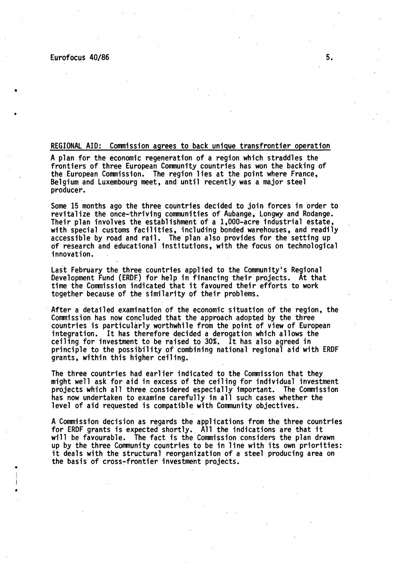•

•

•

### REGIONAL AID: Commission agrees to back unique transfrontier operation

A plan for the economic regeneration of a region which straddles the frontiers of three European Community countries has won the backing of the European Commission. The region lies at the point where France, Belgium and luxembourg meet, and until recently was a major steel producer.

Some 15 months ago the three countries decided to join forces in order to<br>revitalize the once-thriving communities of Aubange, Longwy and Rodange. Their plan involves the establishment of a 1,000-acre industrial estate,<br>with special customs facilities, including bonded warehouses, and readily accessible by road and rail. The plan also provides for the setting up<br>of research and educational institutions, with the focus on technological<br>innovation.

Last February the three countries applied to the Community's Regional<br>Development Fund (ERDF) for help in financing their projects. At that time the Commission indicated that it favoured their efforts to work together because of the similarity of their problems.

After a detailed examination of the economic situation of the region, the Commission has now concluded that the approach adopted by the three countries is particularly worthwhile from the point of view of European integration. It has therefore decided a derogation which allows the ceiling for investment to be raised to 30%. It has also agreed in principle to the possibility of combining national regional aid with ERDF grants, within this higher ceiling.

The three countries had earlier indicated to the Commission that they might well ask for aid in excess of the ceiling for individual investment projects which all three considered especially important. The Commission has now undertaken to examine carefully in all such cases whether the level of aid requested is compatible with Community objectives.

A Commission decision as regards the applications from the three countries for ERDF grants is expected shortly. All the indications are that it will be favourable. The fact is the Commission considers the plan drawn up by the three Community countries to be in line with its own priorities: it deals with the structural reorganization of a steel producing area on the basis of cross-frontier investment projects •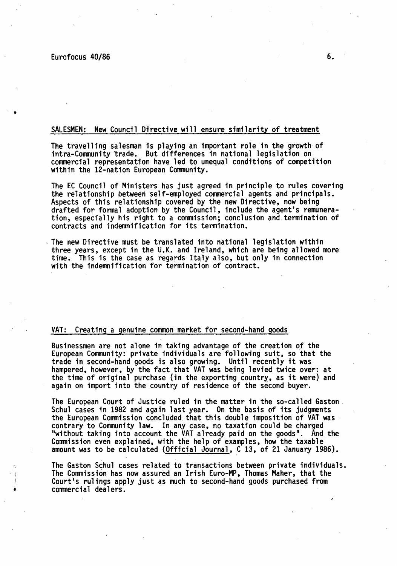# SALESMEN: New Council Directive will ensure similarity of treatment

The travelling salesman is playing an important role in the growth of intra-Community trade. But differences in national legislation on commercial representation have led to unequal conditions of competition within the 12-nation European Community.

The EC Council of Ministers has just agreed in principle to rules covering<br>the relationship between self-employed commercial agents and principals.<br>Aspects of this relationship covered by the new Directive, now being<br>draft tion, especially his right to a commission; conclusion and termination of contracts and indemnification for its termination.

The new Directive must be translated into national legislation within three years, except in the U.K. and Ireland, which are being allowed more time. This is the case as regards Italy also, but only in connection with the indemnification for termination of contract.

### VAT: Creating a genuine common market for second-hand goods

Businessmen are not alone in taking advantage of the creation *of* the European Community: private individuals are following suit, so that the trade in second-hand goods is also growing. Until recently it was hampered, however, by the fact that VAT was being levied twice over: at the time of original purchase (in the exporting country, as it were) and again on import into the country of residence of the second buyer.

The European Court of Justice ruled in the matter in the so-called Gaston.<br>Schul cases in 1982 and again last year. On the basis of its judgments the European Commission concluded that this double imposition of VAT was<br>contrary to Community law. In any case, no taxation could be charged<br>"without taking into account the VAT already paid on the goods". And the Commission even explained, with the help of examples, how the taxable amount was to be calculated (Official Journal, C 13, of 21 January 1986).

The Gaston Schul cases related to transactions between private individuals.<br>The Commission has now assured an Irish Euro-MP, Thomas Maher, that the Court's rulings apply just as much to second-hand goods purchased from • commercial dealers.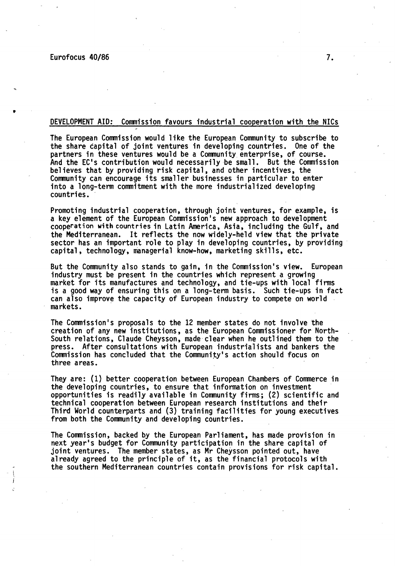$\left\{$ I

### DEVELOPMENT AID: Commission favours industrial cooperation with the NICs

The European Commission would like the European Community to subscribe to the share capital of joint ventures in developing countries. One of the partners in these ventures would be a Community enterprise, of course. And the EC's contribution would necessarily be small. But the Commission believes that by providing risk capital, and other incentives, the Community can encourage its smaller businesses in particular to enter into a long-term commitment with the more industrialized developing countries.

Promoting industrial cooperation, through joint ventures, for example, is<br>a key element of the European Commission's new approach to development cooperation with countries in Latin America, Asia, including the Gulf, and the Mediterranean. It reflects the now widely-held view that the private sector has an important role to play in developing countries, by providing capital, technology, managerial know-how, marketing skills, etc.

But the Community also stands to gain, in the Commission's view. European industry must be present in the countries which represent a growing market for its manufactures and technology, and tie-ups with local firms is a good way of ensuring this on a long-term basis. Such tie-ups in fact can also improve the capacity of European industry to compete on world markets. ·

The Commission's proposals to the 12 member states do not involve the creation of any new institutions, as the European Commissioner for North-South relations, Claude Cheysson, made·clear when he outlined them to the press. After consultations with European industrialists and bankers the Commission has concluded that the Community's action should focus on three areas.

They are: {1) better cooperation between European Chambers of Commerce in the developing countries, to ensure that information on investment opportunities is readily available in Community firms; {2) scientific and technical cooperation between European research institutions and their Third World counterparts and {3) training facilities for young executives from both the Community and developing countries.

The Commission, backed by the European Parliament, has made provision in next year's budget for Community participation in the share capital of joint ventures. The member states, as Mr Cheysson pointed out, have already agreed to the principle of it, as the financial protocols with the southern Mediterranean countries contain provisions for risk capital.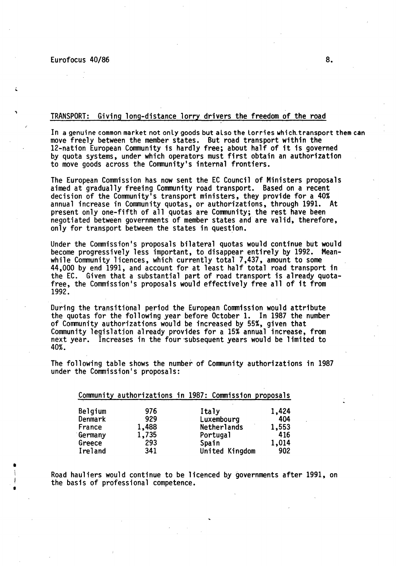•  $\vert$ I I

# TRANSPORT: Giving long-distance lorry drivers the freedom of the road

In a genuine common market not only goods but also the lorries which transport them can move freely between the member states. But road transport within the 12-nation European Community is hardly free; about half of it is governed by quota systems, under which operators must first obtain an authorization to move goods across the Community's internal frontiers.

The European Commission has now sent the EC Council of Ministers proposals aimed at gradually freeing Community road transport. Based on a recent decision of the Community's transport ministers, they provide for a 40% annual increase in Community quotas, or authorizations, through 1991. At present only one-fifth of all quotas are Community; the rest have been negotiated between governments of member states and are valid, therefore, only for transport between the states in question.

Under the Commission's proposals bilateral quotas would continue but would become progressively less important, to disappear entirely by 1992. Meanbecome progressively less important, to disappear entirely by 1992. while Community licences, which currently total 7,437, amount to some 44,000 by end 1991, and account for at least half total road transport in the EC. Given that a substantial part of road transport is already quota- free, the Commission's proposals would effectively free all of it from 1992.

During the transitional period the European Commission would attribute the quotas for the following year before October 1. In 1987 the number of Community authorizations would be increased by 55%, given that Community legislation already provides for a 15% annual increase, from next year. Increases in the four subsequent years would be limited to 40%.

The following table shows the number of Community authorizations in 1987 under the Commission's proposals:

|         |       | Community authorizations in 1987: Commission proposals |       |
|---------|-------|--------------------------------------------------------|-------|
| Belgium | 976   | Italy                                                  | 1,424 |
| Denmark | 929   | Luxembourg                                             | 404   |
| France  | 1,488 | Netherlands                                            | 1,553 |
| Germany | 1,735 | Portugal                                               | 416   |
| Greece  | 293   | Spain                                                  | 1,014 |
| Ireland | 341   | United Kingdom                                         | 902   |

Road hauliers would continue to be licenced by governments after 1991, on the basis of professional competence.